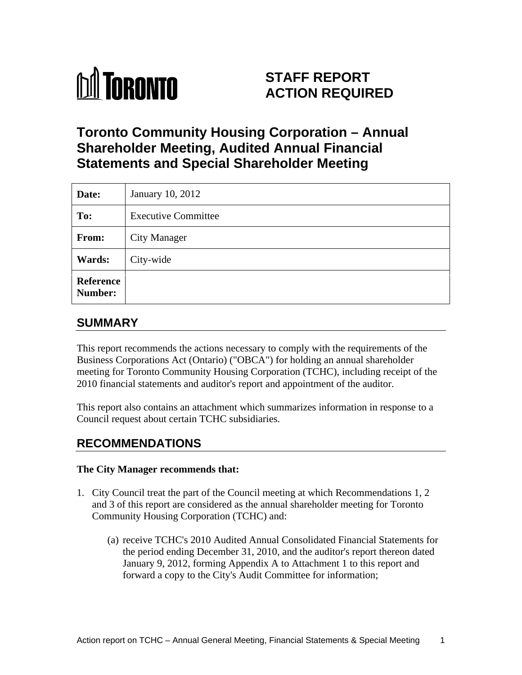

# **STAFF REPORT ACTION REQUIRED**

# **Toronto Community Housing Corporation – Annual Shareholder Meeting, Audited Annual Financial Statements and Special Shareholder Meeting**

| Date:     | January 10, 2012           |
|-----------|----------------------------|
| To:       | <b>Executive Committee</b> |
| From:     | City Manager               |
| Wards:    | City-wide                  |
| Reference |                            |

# **SUMMARY**

This report recommends the actions necessary to comply with the requirements of the Business Corporations Act (Ontario) ("OBCA") for holding an annual shareholder meeting for Toronto Community Housing Corporation (TCHC), including receipt of the 2010 financial statements and auditor's report and appointment of the auditor.

This report also contains an attachment which summarizes information in response to a Council request about certain TCHC subsidiaries.

# **RECOMMENDATIONS**

#### **The City Manager recommends that:**

- 1. City Council treat the part of the Council meeting at which Recommendations 1, 2 and 3 of this report are considered as the annual shareholder meeting for Toronto Community Housing Corporation (TCHC) and:
	- (a) receive TCHC's 2010 Audited Annual Consolidated Financial Statements for the period ending December 31, 2010, and the auditor's report thereon dated January 9, 2012, forming Appendix A to Attachment 1 to this report and forward a copy to the City's Audit Committee for information;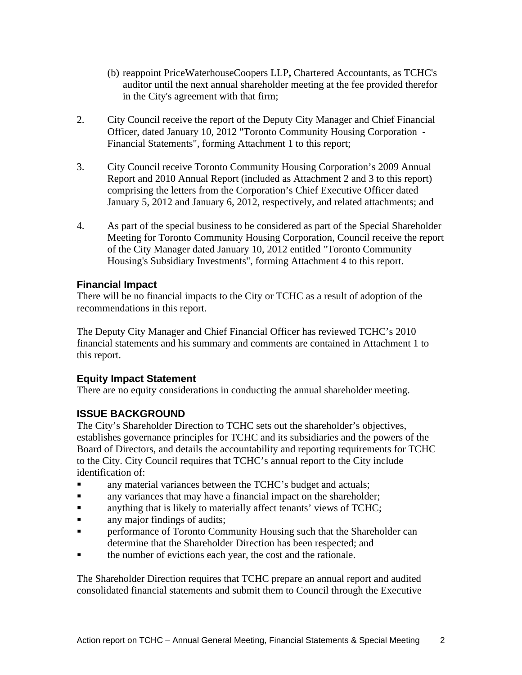- (b) reappoint PriceWaterhouseCoopers LLP**,** Chartered Accountants, as TCHC's auditor until the next annual shareholder meeting at the fee provided therefor in the City's agreement with that firm;
- 2. City Council receive the report of the Deputy City Manager and Chief Financial Officer, dated January 10, 2012 "Toronto Community Housing Corporation - Financial Statements", forming Attachment 1 to this report;
- 3. City Council receive Toronto Community Housing Corporation's 2009 Annual Report and 2010 Annual Report (included as Attachment 2 and 3 to this report) comprising the letters from the Corporation's Chief Executive Officer dated January 5, 2012 and January 6, 2012, respectively, and related attachments; and
- 4. As part of the special business to be considered as part of the Special Shareholder Meeting for Toronto Community Housing Corporation, Council receive the report of the City Manager dated January 10, 2012 entitled "Toronto Community Housing's Subsidiary Investments", forming Attachment 4 to this report.

#### **Financial Impact**

There will be no financial impacts to the City or TCHC as a result of adoption of the recommendations in this report.

The Deputy City Manager and Chief Financial Officer has reviewed TCHC's 2010 financial statements and his summary and comments are contained in Attachment 1 to this report.

#### **Equity Impact Statement**

There are no equity considerations in conducting the annual shareholder meeting.

### **ISSUE BACKGROUND**

The City's Shareholder Direction to TCHC sets out the shareholder's objectives, establishes governance principles for TCHC and its subsidiaries and the powers of the Board of Directors, and details the accountability and reporting requirements for TCHC to the City. City Council requires that TCHC's annual report to the City include identification of:

- any material variances between the TCHC's budget and actuals;  $\blacksquare$
- any variances that may have a financial impact on the shareholder;
- anything that is likely to materially affect tenants' views of TCHC;
- $\blacksquare$ any major findings of audits;
- $\blacksquare$ performance of Toronto Community Housing such that the Shareholder can determine that the Shareholder Direction has been respected; and
- the number of evictions each year, the cost and the rationale.

The Shareholder Direction requires that TCHC prepare an annual report and audited consolidated financial statements and submit them to Council through the Executive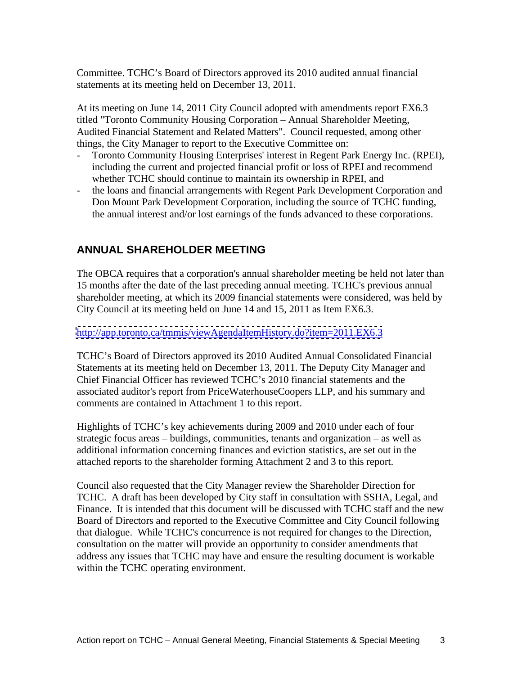Committee. TCHC's Board of Directors approved its 2010 audited annual financial statements at its meeting held on December 13, 2011.

At its meeting on June 14, 2011 City Council adopted with amendments report EX6.3 titled "Toronto Community Housing Corporation – Annual Shareholder Meeting, Audited Financial Statement and Related Matters". Council requested, among other things, the City Manager to report to the Executive Committee on:

- Toronto Community Housing Enterprises' interest in Regent Park Energy Inc. (RPEI), including the current and projected financial profit or loss of RPEI and recommend whether TCHC should continue to maintain its ownership in RPEI, and
- the loans and financial arrangements with Regent Park Development Corporation and Don Mount Park Development Corporation, including the source of TCHC funding, the annual interest and/or lost earnings of the funds advanced to these corporations.

# **ANNUAL SHAREHOLDER MEETING**

The OBCA requires that a corporation's annual shareholder meeting be held not later than 15 months after the date of the last preceding annual meeting. TCHC's previous annual shareholder meeting, at which its 2009 financial statements were considered, was held by City Council at its meeting held on June 14 and 15, 2011 as Item EX6.3.

<http://app.toronto.ca/tmmis/viewAgendaItemHistory.do?item=2011.EX6.3><br>TCHC's Board of Directors approved its 2010 Audited Annual Consolidated Financial Statements at its meeting held on December 13, 2011. The Deputy City Manager and Chief Financial Officer has reviewed TCHC's 2010 financial statements and the associated auditor's report from PriceWaterhouseCoopers LLP, and his summary and comments are contained in Attachment 1 to this report.

Highlights of TCHC's key achievements during 2009 and 2010 under each of four strategic focus areas – buildings, communities, tenants and organization – as well as additional information concerning finances and eviction statistics, are set out in the attached reports to the shareholder forming Attachment 2 and 3 to this report.

Council also requested that the City Manager review the Shareholder Direction for TCHC. A draft has been developed by City staff in consultation with SSHA, Legal, and Finance. It is intended that this document will be discussed with TCHC staff and the new Board of Directors and reported to the Executive Committee and City Council following that dialogue. While TCHC's concurrence is not required for changes to the Direction, consultation on the matter will provide an opportunity to consider amendments that address any issues that TCHC may have and ensure the resulting document is workable within the TCHC operating environment.